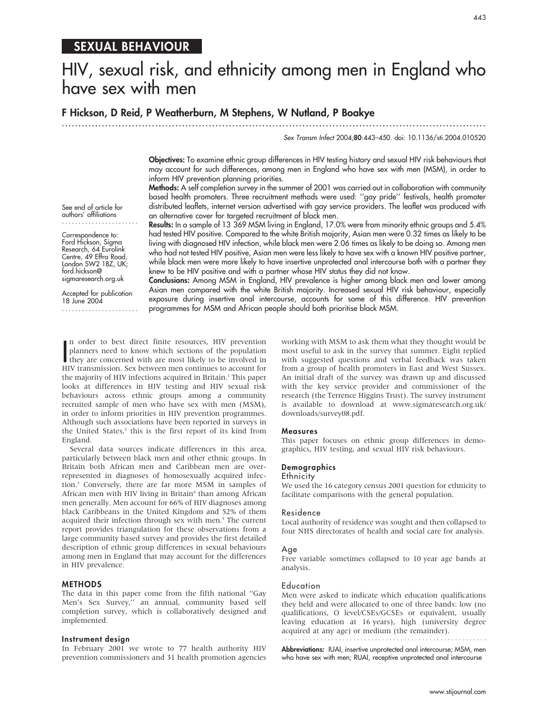# SEXUAL BEHAVIOUR

# HIV, sexual risk, and ethnicity among men in England who have sex with men

F Hickson, D Reid, P Weatherburn, M Stephens, W Nutland, P Boakye

...............................................................................................................................

Sex Transm Infect 2004;80:443–450. doi: 10.1136/sti.2004.010520

Objectives: To examine ethnic group differences in HIV testing history and sexual HIV risk behaviours that may account for such differences, among men in England who have sex with men (MSM), in order to inform HIV prevention planning priorities.

Methods: A self completion survey in the summer of 2001 was carried out in collaboration with community based health promoters. Three recruitment methods were used: ''gay pride'' festivals, health promoter distributed leaflets, internet version advertised with gay service providers. The leaflet was produced with an alternative cover for targeted recruitment of black men.

See end of article for authors' affiliations .......................

Correspondence to: Ford Hickson, Sigma Research, 64 Eurolink Centre, 49 Effra Road, London SW2 1BZ, UK; ford.hickson@ sigmaresearch.org.uk

Accepted for publication 18 June 2004 ....................... Results: In a sample of 13 369 MSM living in England, 17.0% were from minority ethnic groups and 5.4% had tested HIV positive. Compared to the white British majority, Asian men were 0.32 times as likely to be living with diagnosed HIV infection, while black men were 2.06 times as likely to be doing so. Among men who had not tested HIV positive, Asian men were less likely to have sex with a known HIV positive partner, while black men were more likely to have insertive unprotected anal intercourse both with a partner they knew to be HIV positive and with a partner whose HIV status they did not know.

Conclusions: Among MSM in England, HIV prevalence is higher among black men and lower among Asian men compared with the white British majority. Increased sexual HIV risk behaviour, especially exposure during insertive anal intercourse, accounts for some of this difference. HIV prevention programmes for MSM and African people should both prioritise black MSM.

In order to best direct finite resources, HIV prevention<br>planners need to know which sections of the population<br>they are concerned with are most likely to be involved in<br>HIV transmission. Sex between men continues to accou n order to best direct finite resources, HIV prevention planners need to know which sections of the population HIV transmission. Sex between men continues to account for the majority of HIV infections acquired in Britain.<sup>1</sup> This paper looks at differences in HIV testing and HIV sexual risk behaviours across ethnic groups among a community recruited sample of men who have sex with men (MSM), in order to inform priorities in HIV prevention programmes. Although such associations have been reported in surveys in the United States,<sup>2</sup> this is the first report of its kind from England.

Several data sources indicate differences in this area, particularly between black men and other ethnic groups. In Britain both African men and Caribbean men are overrepresented in diagnoses of homosexually acquired infection.3 Conversely, there are far more MSM in samples of African men with HIV living in Britain<sup>4</sup> than among African men generally. Men account for 66% of HIV diagnoses among black Caribbeans in the United Kingdom and 52% of them acquired their infection through sex with men.<sup>5</sup> The current report provides triangulation for these observations from a large community based survey and provides the first detailed description of ethnic group differences in sexual behaviours among men in England that may account for the differences in HIV prevalence.

# METHODS

The data in this paper come from the fifth national ''Gay Men's Sex Survey,'' an annual, community based self completion survey, which is collaboratively designed and implemented.

# Instrument design

In February 2001 we wrote to 77 health authority HIV prevention commissioners and 31 health promotion agencies

working with MSM to ask them what they thought would be most useful to ask in the survey that summer. Eight replied with suggested questions and verbal feedback was taken from a group of health promoters in East and West Sussex. An initial draft of the survey was drawn up and discussed with the key service provider and commissioner of the research (the Terrence Higgins Trust). The survey instrument is available to download at www.sigmaresearch.org.uk/ downloads/survey08.pdf.

#### Measures

This paper focuses on ethnic group differences in demographics, HIV testing, and sexual HIV risk behaviours.

# **Demographics**

#### **Ethnicity**

We used the 16 category census 2001 question for ethnicity to facilitate comparisons with the general population.

#### Residence

Local authority of residence was sought and then collapsed to four NHS directorates of health and social care for analysis.

#### Age

Free variable sometimes collapsed to 10 year age bands at analysis.

#### Education

Men were asked to indicate which education qualifications they held and were allocated to one of three bands: low (no qualifications, O level/CSEs/GCSEs or equivalent, usually leaving education at 16 years), high (university degree acquired at any age) or medium (the remainder).

Abbreviations: IUAI, insertive unprotected anal intercourse; MSM, men who have sex with men; RUAI, receptive unprotected anal intercourse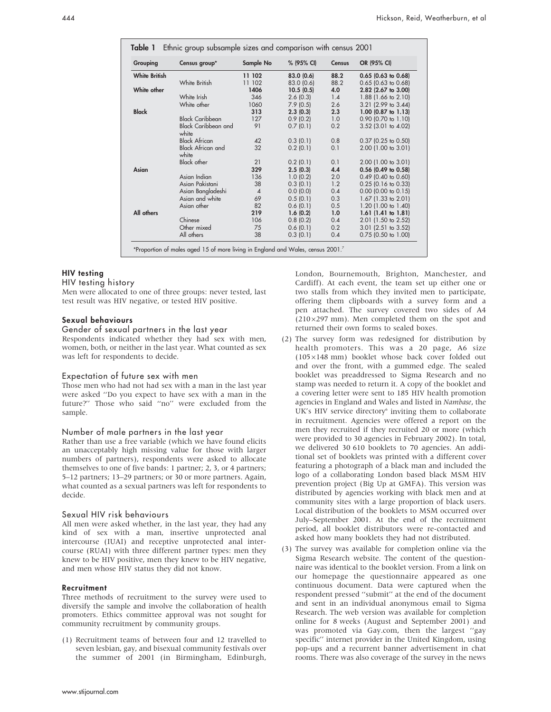| Grouping             | Census group*                       | Sample No      | % (95% CI) | <b>Census</b> | OR (95% CI)<br>$0.65$ (0.63 to 0.68) |  |
|----------------------|-------------------------------------|----------------|------------|---------------|--------------------------------------|--|
| <b>White British</b> |                                     | 11 102         | 83.0(0.6)  | 88.2          |                                      |  |
|                      | White British                       | 11 102         | 83.0 (0.6) | 88.2          | $0.65$ (0.63 to 0.68)                |  |
| White other          |                                     | 1406           | 10.5(0.5)  | 4.0           | 2.82 (2.67 to 3.00)                  |  |
|                      | White Irish                         | 346            | 2.6(0.3)   | 1.4           | 1.88 (1.66 to 2.10)                  |  |
|                      | White other                         | 1060           | 7.9(0.5)   | 2.6           | 3.21 (2.99 to 3.44)                  |  |
| <b>Black</b>         |                                     | 313            | 2.3(0.3)   | 2.3           | $1.00$ (0.87 to $1.13$ )             |  |
|                      | <b>Black Caribbean</b>              | 127            | 0.9(0.2)   | 1.0           | $0.90$ (0.70 to 1.10)                |  |
|                      | <b>Black Caribbean and</b><br>white | 91             | 0.7(0.1)   | 0.2           | $3.52$ (3.01 to 4.02)                |  |
|                      | <b>Black African</b>                | 42             | 0.3(0.1)   | 0.8           | $0.37$ (0.25 to 0.50)                |  |
|                      | <b>Black African and</b><br>white   | 32             | 0.2(0.1)   | 0.1           | 2.00 (1.00 to 3.01)                  |  |
|                      | <b>Black other</b>                  | 21             | 0.2(0.1)   | 0.1           | 2.00 (1.00 to 3.01)                  |  |
| Asian                |                                     | 329            | 2.5(0.3)   | 4.4           | 0.56 (0.49 to 0.58)                  |  |
|                      | Asian Indian                        | 136            | 1.0(0.2)   | 2.0           | $0.49$ (0.40 to 0.60)                |  |
|                      | Asian Pakistani                     | 38             | 0.3(0.1)   | 1.2           | $0.25$ (0.16 to 0.33)                |  |
|                      | Asian Bangladeshi                   | $\overline{4}$ | 0.0(0.0)   | 0.4           | $0.00$ (0.00 to 0.15)                |  |
|                      | Asian and white                     | 69             | 0.5(0.1)   | 0.3           | $1.67$ (1.33 to 2.01)                |  |
|                      | Asian other                         | 82             | 0.6(0.1)   | 0.5           | 1.20 (1.00 to 1.40)                  |  |
| All others           |                                     | 219            | 1.6(0.2)   | 1.0           | $1.61$ (1.41 to 1.81)                |  |
|                      | Chinese                             | 106            | 0.8(0.2)   | 0.4           | 2.01 (1.50 to 2.52)                  |  |
|                      | Other mixed                         | 75             | 0.6(0.1)   | 0.2           | $3.01$ (2.51 to $3.52$ )             |  |
|                      | All others                          | 38             | 0.3(0.1)   | 0.4           | $0.75$ (0.50 to 1.00)                |  |

# HIV testing

# HIV testing history

Men were allocated to one of three groups: never tested, last test result was HIV negative, or tested HIV positive.

# Sexual behaviours

#### Gender of sexual partners in the last year

Respondents indicated whether they had sex with men, women, both, or neither in the last year. What counted as sex was left for respondents to decide.

# Expectation of future sex with men

Those men who had not had sex with a man in the last year were asked ''Do you expect to have sex with a man in the future?'' Those who said ''no'' were excluded from the sample.

# Number of male partners in the last year

Rather than use a free variable (which we have found elicits an unacceptably high missing value for those with larger numbers of partners), respondents were asked to allocate themselves to one of five bands: 1 partner; 2, 3, or 4 partners; 5–12 partners; 13–29 partners; or 30 or more partners. Again, what counted as a sexual partners was left for respondents to decide.

#### Sexual HIV risk behaviours

All men were asked whether, in the last year, they had any kind of sex with a man, insertive unprotected anal intercourse (IUAI) and receptive unprotected anal intercourse (RUAI) with three different partner types: men they knew to be HIV positive, men they knew to be HIV negative, and men whose HIV status they did not know.

# Recruitment

Three methods of recruitment to the survey were used to diversify the sample and involve the collaboration of health promoters. Ethics committee approval was not sought for community recruitment by community groups.

(1) Recruitment teams of between four and 12 travelled to seven lesbian, gay, and bisexual community festivals over the summer of 2001 (in Birmingham, Edinburgh,

London, Bournemouth, Brighton, Manchester, and Cardiff). At each event, the team set up either one or two stalls from which they invited men to participate, offering them clipboards with a survey form and a pen attached. The survey covered two sides of A4  $(210\times297$  mm). Men completed them on the spot and returned their own forms to sealed boxes.

- (2) The survey form was redesigned for distribution by health promoters. This was a 20 page, A6 size  $(105\times148 \text{ mm})$  booklet whose back cover folded out and over the front, with a gummed edge. The sealed booklet was preaddressed to Sigma Research and no stamp was needed to return it. A copy of the booklet and a covering letter were sent to 185 HIV health promotion agencies in England and Wales and listed in Nambase, the UK's HIV service directory<sup>6</sup> inviting them to collaborate in recruitment. Agencies were offered a report on the men they recruited if they recruited 20 or more (which were provided to 30 agencies in February 2002). In total, we delivered 30 610 booklets to 70 agencies. An additional set of booklets was printed with a different cover featuring a photograph of a black man and included the logo of a collaborating London based black MSM HIV prevention project (Big Up at GMFA). This version was distributed by agencies working with black men and at community sites with a large proportion of black users. Local distribution of the booklets to MSM occurred over July–September 2001. At the end of the recruitment period, all booklet distributors were re-contacted and asked how many booklets they had not distributed.
- (3) The survey was available for completion online via the Sigma Research website. The content of the questionnaire was identical to the booklet version. From a link on our homepage the questionnaire appeared as one continuous document. Data were captured when the respondent pressed ''submit'' at the end of the document and sent in an individual anonymous email to Sigma Research. The web version was available for completion online for 8 weeks (August and September 2001) and was promoted via Gay.com, then the largest ''gay specific'' internet provider in the United Kingdom, using pop-ups and a recurrent banner advertisement in chat rooms. There was also coverage of the survey in the news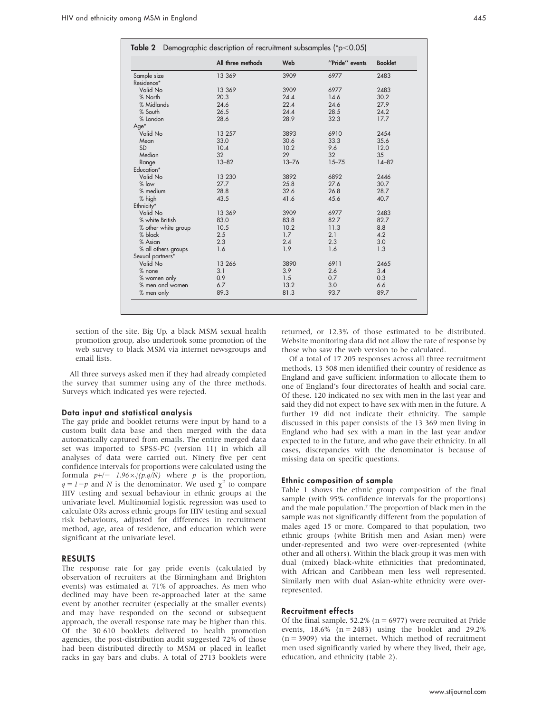|                     | All three methods | Web       | "Pride" events | <b>Booklet</b> |
|---------------------|-------------------|-----------|----------------|----------------|
| Sample size         | 13 369            | 3909      | 6977           | 2483           |
| Residence*          |                   |           |                |                |
| Valid No            | 13 369            | 3909      | 6977           | 2483           |
| % North             | 20.3              | 24.4      | 14.6           | 30.2           |
| % Midlands          | 24.6              | 22.4      | 24.6           | 27.9           |
| % South             | 26.5              | 24.4      | 28.5           | 24.2           |
| % London            | 28.6              | 28.9      | 32.3           | 17.7           |
| Age*                |                   |           |                |                |
| Valid No            | 13 257            | 3893      | 6910           | 2454           |
| Mean                | 33.0              | 30.6      | 33.3           | 35.6           |
| <b>SD</b>           | 10.4              | 10.2      | 9.6            | 12.0           |
| Median              | 32                | 29        | 32             | 35             |
| Range               | $13 - 82$         | $13 - 76$ | $15 - 75$      | $14 - 82$      |
| Education*          |                   |           |                |                |
| Valid No            | 13 230            | 3892      | 6892           | 2446           |
| $%$ low             | 27.7              | 25.8      | 27.6           | 30.7           |
| $%$ medium          | 28.8              | 32.6      | 26.8           | 28.7           |
| % high              | 43.5              | 41.6      | 45.6           | 40.7           |
| Ethnicity*          |                   |           |                |                |
| Valid No            | 13 369            | 3909      | 6977           | 2483           |
| % white British     | 83.0              | 83.8      | 82.7           | 82.7           |
| % other white group | 10.5              | 10.2      | 11.3           | 8.8            |
| % black             | 2.5               | 1.7       | 2.1            | 4.2            |
| % Asian             | 2.3               | 2.4       | 2.3            | 3.0            |
| % all others groups | 1.6               | 1.9       | 1.6            | 1.3            |
| Sexual partners*    |                   |           |                |                |
| Valid No            | 13 266            | 3890      | 6911           | 2465           |
| $%$ none            | 3.1               | 3.9       | 2.6            | 3.4            |
| % women only        | 0.9               | 1.5       | 0.7            | 0.3            |
| % men and women     | 6.7               | 13.2      | 3.0            | 6.6            |
| % men only          | 89.3              | 81.3      | 93.7           | 89.7           |

section of the site. Big Up, a black MSM sexual health promotion group, also undertook some promotion of the web survey to black MSM via internet newsgroups and email lists.

All three surveys asked men if they had already completed the survey that summer using any of the three methods. Surveys which indicated yes were rejected.

#### Data input and statistical analysis

The gay pride and booklet returns were input by hand to a custom built data base and then merged with the data automatically captured from emails. The entire merged data set was imported to SPSS-PC (version 11) in which all analyses of data were carried out. Ninety five per cent confidence intervals for proportions were calculated using the formula  $p+/-$  1.96 $\times \sqrt{(p.q/N)}$  where p is the proportion,  $q = 1-p$  and N is the denominator. We used  $\chi^2$  to compare HIV testing and sexual behaviour in ethnic groups at the univariate level. Multinomial logistic regression was used to calculate ORs across ethnic groups for HIV testing and sexual risk behaviours, adjusted for differences in recruitment method, age, area of residence, and education which were significant at the univariate level.

# RESULTS

The response rate for gay pride events (calculated by observation of recruiters at the Birmingham and Brighton events) was estimated at 71% of approaches. As men who declined may have been re-approached later at the same event by another recruiter (especially at the smaller events) and may have responded on the second or subsequent approach, the overall response rate may be higher than this. Of the 30 610 booklets delivered to health promotion agencies, the post-distribution audit suggested 72% of those had been distributed directly to MSM or placed in leaflet racks in gay bars and clubs. A total of 2713 booklets were

returned, or 12.3% of those estimated to be distributed. Website monitoring data did not allow the rate of response by those who saw the web version to be calculated.

Of a total of 17 205 responses across all three recruitment methods, 13 508 men identified their country of residence as England and gave sufficient information to allocate them to one of England's four directorates of health and social care. Of these, 120 indicated no sex with men in the last year and said they did not expect to have sex with men in the future. A further 19 did not indicate their ethnicity. The sample discussed in this paper consists of the 13 369 men living in England who had sex with a man in the last year and/or expected to in the future, and who gave their ethnicity. In all cases, discrepancies with the denominator is because of missing data on specific questions.

#### Ethnic composition of sample

Table 1 shows the ethnic group composition of the final sample (with 95% confidence intervals for the proportions) and the male population.<sup>7</sup> The proportion of black men in the sample was not significantly different from the population of males aged 15 or more. Compared to that population, two ethnic groups (white British men and Asian men) were under-represented and two were over-represented (white other and all others). Within the black group it was men with dual (mixed) black-white ethnicities that predominated, with African and Caribbean men less well represented. Similarly men with dual Asian-white ethnicity were overrepresented.

#### Recruitment effects

Of the final sample, 52.2% ( $n = 6977$ ) were recruited at Pride events,  $18.6\%$  (n = 2483) using the booklet and 29.2%  $(n = 3909)$  via the internet. Which method of recruitment men used significantly varied by where they lived, their age, education, and ethnicity (table 2).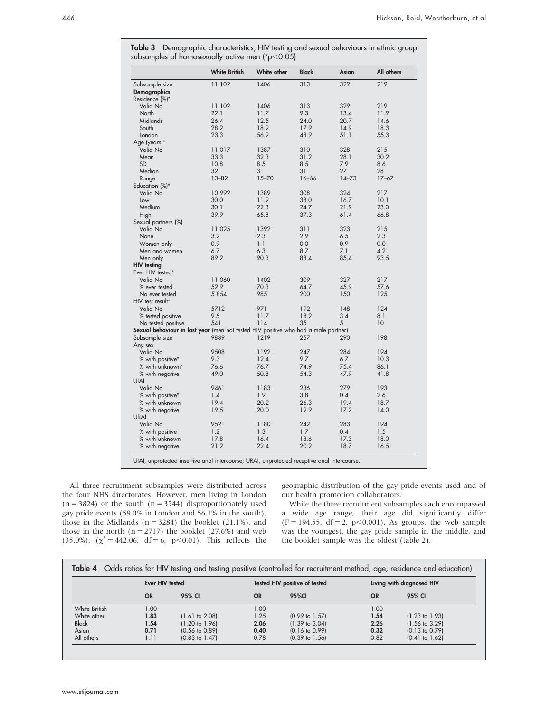|                                                                                    | <b>White British</b> | White other | <b>Black</b> | Asian     | All others      |
|------------------------------------------------------------------------------------|----------------------|-------------|--------------|-----------|-----------------|
| Subsample size                                                                     | 11 102               | 1406        | 313          | 329       | 219             |
| Demographics                                                                       |                      |             |              |           |                 |
| Residence (%)*                                                                     |                      |             |              |           |                 |
| Valid No                                                                           | 11 102               | 1406        | 313          | 329       | 219             |
| North                                                                              | 22.1                 | 11.7        | 9.3          | 13.4      | 11.9            |
| Midlands                                                                           | 26.4                 | 12.5        | 24.0         | 20.7      | 14.6            |
| South                                                                              | 28.2                 | 18.9        | 17.9         | 14.9      | 18.3            |
|                                                                                    |                      |             |              |           |                 |
| London                                                                             | 23.3                 | 56.9        | 48.9         | 51.1      | 55.3            |
| Age (years)*                                                                       |                      |             |              |           |                 |
| Valid No                                                                           | 11 017               | 1387        | 310          | 328       | 215             |
| Mean                                                                               | 33.3                 | 32.3        | 31.2         | 28.1      | 30.2            |
| <b>SD</b>                                                                          | 10.8                 | 8.5         | 8.5          | 7.9       | 8.6             |
| Median                                                                             | 32                   | 31          | 31           | 27        | 28              |
| Range                                                                              | $13 - 82$            | $15 - 70$   | $16 - 66$    | $14 - 73$ | $17 - 67$       |
| Education (%)*                                                                     |                      |             |              |           |                 |
| Valid No                                                                           | 10 992               | 1389        | 308          | 324       | 217             |
| Low                                                                                | 30.0                 | 11.9        | 38.0         | 16.7      | 10.1            |
| Medium                                                                             | 30.1                 | 22.3        | 24.7         | 21.9      | 23.0            |
|                                                                                    |                      |             |              |           |                 |
| High                                                                               | 39.9                 | 65.8        | 37.3         | 61.4      | 66.8            |
| Sexual partners (%)                                                                |                      |             |              |           |                 |
| Valid No                                                                           | 11 025               | 1392        | 311          | 323       | 215             |
| None                                                                               | 3.2                  | 2.3         | 2.9          | 6.5       | 2.3             |
| Women only                                                                         | 0.9                  | 1.1         | 0.0          | 0.9       | 0.0             |
| Men and women                                                                      | 6.7                  | 6.3         | 8.7          | 7.1       | 4.2             |
| Men only                                                                           | 89.2                 | 90.3        | 88.4         | 85.4      | 93.5            |
| <b>HIV</b> testing                                                                 |                      |             |              |           |                 |
| Ever HIV tested*                                                                   |                      |             |              |           |                 |
| Valid No                                                                           | 11 060               | 1402        | 309          | 327       | 217             |
| % ever tested                                                                      | 52.9                 | 70.3        | 64.7         | 45.9      | 57.6            |
|                                                                                    |                      |             |              |           |                 |
| No ever tested                                                                     | 5 8 5 4              | 985         | 200          | 150       | 125             |
| HIV test result*                                                                   |                      |             |              |           |                 |
| Valid No                                                                           | 5712                 | 971         | 192          | 148       | 124             |
| % tested positive                                                                  | 9.5                  | 11.7        | 18.2         | 3.4       | 8.1             |
| No tested positive                                                                 | 541                  | 114         | 35           | 5         | 10 <sup>°</sup> |
| Sexual behaviour in last year (men not tested HIV positive who had a male partner) |                      |             |              |           |                 |
| Subsample size                                                                     | 9889                 | 1219        | 257          | 290       | 198             |
| Any sex                                                                            |                      |             |              |           |                 |
| Valid No                                                                           | 9508                 | 1192        | 247          | 284       | 194             |
| % with positive*                                                                   | 9.3                  | 12.4        | 9.7          | 6.7       | 10.3            |
| % with unknown*                                                                    | 76.6                 | 76.7        | 74.9         | 75.4      | 86.1            |
|                                                                                    | 49.0                 | 50.8        | 54.3         | 47.9      | 41.8            |
| % with negative                                                                    |                      |             |              |           |                 |
| <b>UIAI</b>                                                                        |                      |             |              |           |                 |
| Valid No                                                                           | 9461                 | 1183        | 236          | 279       | 193             |
| % with positive*                                                                   | 1.4                  | 1.9         | 3.8          | 0.4       | 2.6             |
| % with unknown                                                                     | 19.4                 | 20.2        | 26.3         | 19.4      | 18.7            |
| % with negative                                                                    | 19.5                 | 20.0        | 19.9         | 17.2      | 14.0            |
| <b>URAI</b>                                                                        |                      |             |              |           |                 |
| Valid No                                                                           | 9521                 | 1180        | 242          | 283       | 194             |
| % with positive                                                                    | 1.2                  | 1.3         | 1.7          | 0.4       | 1.5             |
| % with unknown                                                                     | 17.8                 | 16.4        | 18.6         | 17.3      | 18.0            |
| % with negative                                                                    |                      |             |              |           |                 |
|                                                                                    | 21.2                 | 22.4        | 20.2         | 18.7      | 16.5            |

Table 3 Demographic characteristics, HIV testing and sexual behaviours in ethnic group subsamples of homosexually active men (\*p $<$ 0.05)

All three recruitment subsamples were distributed across the four NHS directorates. However, men living in London  $(n = 3824)$  or the south  $(n = 3544)$  disproportionately used gay pride events (59.0% in London and 56.1% in the south), those in the Midlands ( $n = 3284$ ) the booklet (21.1%), and those in the north ( $n = 2717$ ) the booklet (27.6%) and web (35.0%),  $(\chi^2 = 442.06, df = 6, p < 0.01)$ . This reflects the geographic distribution of the gay pride events used and of our health promotion collaborators.

While the three recruitment subsamples each encompassed a wide age range, their age did significantly differ  $(F = 194.55, df = 2, p < 0.001)$ . As groups, the web sample was the youngest, the gay pride sample in the middle, and the booklet sample was the oldest (table 2).

|               | Ever HIV tested |                           | Tested HIV positive of tested |                           | Living with diagnosed HIV |                           |
|---------------|-----------------|---------------------------|-------------------------------|---------------------------|---------------------------|---------------------------|
|               | <b>OR</b>       | 95% CI                    | <b>OR</b>                     | 95%CI                     | <b>OR</b>                 | 95% CI                    |
| White British | 1.00            |                           | 1.00                          |                           | 1.00                      |                           |
| White other   | 1.83            | $(1.61 \text{ to } 2.08)$ | 1.25                          | $(0.99 \text{ to } 1.57)$ | 1.54                      | $(1.23 \text{ to } 1.93)$ |
| <b>Black</b>  | 1.54            | $(1.20 \text{ to } 1.96)$ | 2.06                          | $(1.39 \text{ to } 3.04)$ | 2.26                      | $(1.56 \text{ to } 3.29)$ |
| Asian         | 0.71            | $(0.56 \text{ to } 0.89)$ | 0.40                          | $(0.16 \text{ to } 0.99)$ | 0.32                      | $(0.13 \text{ to } 0.79)$ |
| All others    | 1.11            | $(0.83 \text{ to } 1.47)$ | 0.78                          | $(0.39 \text{ to } 1.56)$ | 0.82                      | $(0.41$ to $1.62)$        |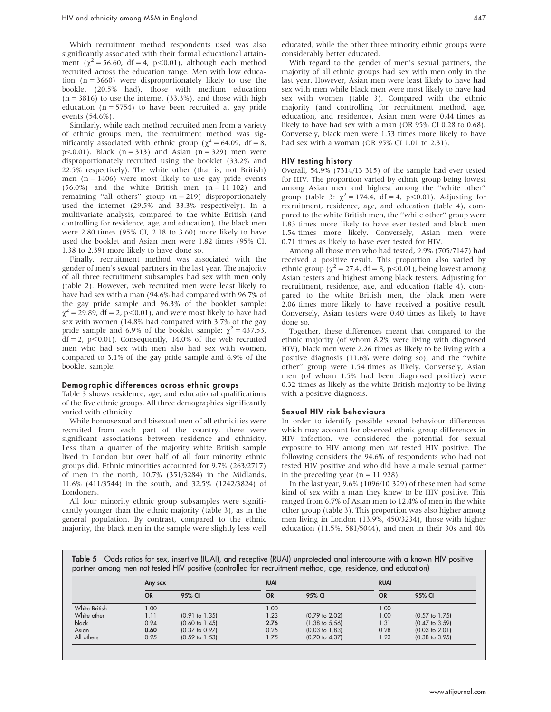Which recruitment method respondents used was also significantly associated with their formal educational attainment ( $\chi^2$  = 56.60, df = 4, p<0.01), although each method recruited across the education range. Men with low education  $(n = 3660)$  were disproportionately likely to use the booklet (20.5% had), those with medium education  $(n = 3816)$  to use the internet  $(33.3\%)$ , and those with high education  $(n = 5754)$  to have been recruited at gay pride events (54.6%).

Similarly, while each method recruited men from a variety of ethnic groups men, the recruitment method was significantly associated with ethnic group ( $\chi^2$  = 64.09, df = 8,  $p<0.01$ ). Black (n = 313) and Asian (n = 329) men were disproportionately recruited using the booklet (33.2% and 22.5% respectively). The white other (that is, not British) men ( $n = 1406$ ) were most likely to use gay pride events  $(56.0\%)$  and the white British men  $(n = 11 102)$  and remaining "all others" group  $(n = 219)$  disproportionately used the internet (29.5% and 33.3% respectively). In a multivariate analysis, compared to the white British (and controlling for residence, age, and education), the black men were 2.80 times (95% CI, 2.18 to 3.60) more likely to have used the booklet and Asian men were 1.82 times (95% CI, 1.38 to 2.39) more likely to have done so.

Finally, recruitment method was associated with the gender of men's sexual partners in the last year. The majority of all three recruitment subsamples had sex with men only (table 2). However, web recruited men were least likely to have had sex with a man (94.6% had compared with 96.7% of the gay pride sample and 96.3% of the booklet sample:  $\chi^2$  = 29.89, df = 2, p<0.01), and were most likely to have had sex with women (14.8% had compared with 3.7% of the gay pride sample and 6.9% of the booklet sample;  $\chi^2 = 437.53$ ,  $df = 2$ ,  $p < 0.01$ ). Consequently, 14.0% of the web recruited men who had sex with men also had sex with women, compared to 3.1% of the gay pride sample and 6.9% of the booklet sample.

# Demographic differences across ethnic groups

Table 3 shows residence, age, and educational qualifications of the five ethnic groups. All three demographics significantly varied with ethnicity.

While homosexual and bisexual men of all ethnicities were recruited from each part of the country, there were significant associations between residence and ethnicity. Less than a quarter of the majority white British sample lived in London but over half of all four minority ethnic groups did. Ethnic minorities accounted for 9.7% (263/2717) of men in the north, 10.7% (351/3284) in the Midlands, 11.6% (411/3544) in the south, and 32.5% (1242/3824) of Londoners.

All four minority ethnic group subsamples were significantly younger than the ethnic majority (table 3), as in the general population. By contrast, compared to the ethnic majority, the black men in the sample were slightly less well

educated, while the other three minority ethnic groups were considerably better educated.

With regard to the gender of men's sexual partners, the majority of all ethnic groups had sex with men only in the last year. However, Asian men were least likely to have had sex with men while black men were most likely to have had sex with women (table 3). Compared with the ethnic majority (and controlling for recruitment method, age, education, and residence), Asian men were 0.44 times as likely to have had sex with a man (OR 95% CI 0.28 to 0.68). Conversely, black men were 1.53 times more likely to have had sex with a woman (OR 95% CI 1.01 to 2.31).

#### HIV testing history

Overall, 54.9% (7314/13 315) of the sample had ever tested for HIV. The proportion varied by ethnic group being lowest among Asian men and highest among the ''white other'' group (table 3:  $\chi^2 = 174.4$ , df = 4, p<0.01). Adjusting for recruitment, residence, age, and education (table 4), compared to the white British men, the ''white other'' group were 1.83 times more likely to have ever tested and black men 1.54 times more likely. Conversely, Asian men were 0.71 times as likely to have ever tested for HIV.

Among all those men who had tested, 9.9% (705/7147) had received a positive result. This proportion also varied by ethnic group ( $\chi^2$  = 27.4, df = 8, p<0.01), being lowest among Asian testers and highest among black testers. Adjusting for recruitment, residence, age, and education (table 4), compared to the white British men, the black men were 2.06 times more likely to have received a positive result. Conversely, Asian testers were 0.40 times as likely to have done so.

Together, these differences meant that compared to the ethnic majority (of whom 8.2% were living with diagnosed HIV), black men were 2.26 times as likely to be living with a positive diagnosis (11.6% were doing so), and the ''white other'' group were 1.54 times as likely. Conversely, Asian men (of whom 1.5% had been diagnosed positive) were 0.32 times as likely as the white British majority to be living with a positive diagnosis.

#### Sexual HIV risk behaviours

In order to identify possible sexual behaviour differences which may account for observed ethnic group differences in HIV infection, we considered the potential for sexual exposure to HIV among men not tested HIV positive. The following considers the 94.6% of respondents who had not tested HIV positive and who did have a male sexual partner in the preceding year  $(n = 11 928)$ .

In the last year, 9.6% (1096/10 329) of these men had some kind of sex with a man they knew to be HIV positive. This ranged from 6.7% of Asian men to 12.4% of men in the white other group (table 3). This proportion was also higher among men living in London (13.9%, 450/3234), those with higher education (11.5%, 581/5044), and men in their 30s and 40s

Table 5 Odds ratios for sex, insertive (IUAI), and receptive (RUAI) unprotected anal intercourse with a known HIV positive partner among men not tested HIV positive (controlled for recruitment method, age, residence, and education)

|               | Any sex   |                           | <b>IUAI</b> |                           | <b>RUAI</b> |                           |
|---------------|-----------|---------------------------|-------------|---------------------------|-------------|---------------------------|
|               | <b>OR</b> | 95% CI                    | <b>OR</b>   | 95% CI                    | <b>OR</b>   | 95% CI                    |
| White British | 1.00      |                           | 1.00        |                           | 1.00        |                           |
| White other   | 1.11      | $(0.91$ to $1.35)$        | 1.23        | $(0.79 \text{ to } 2.02)$ | 1.00        | $(0.57 \text{ to } 1.75)$ |
| black         | 0.94      | $(0.60 \text{ to } 1.45)$ | 2.76        | $(1.38 \text{ to } 5.56)$ | 1.31        | $(0.47 \text{ to } 3.59)$ |
| Asian         | 0.60      | $(0.37 \text{ to } 0.97)$ | 0.25        | $(0.03 \text{ to } 1.83)$ | 0.28        | $(0.03 \text{ to } 2.01)$ |
| All others    | 0.95      | $(0.59 \text{ to } 1.53)$ | 1.75        | $(0.70 \text{ to } 4.37)$ | 1.23        | $(0.38 \text{ to } 3.95)$ |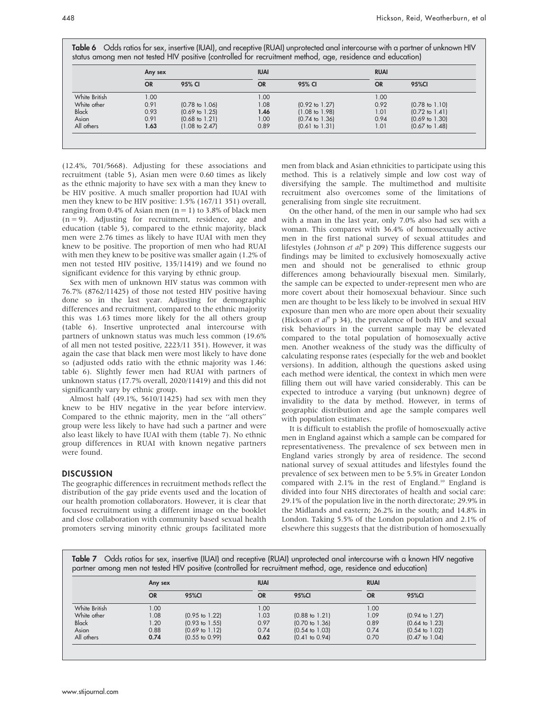| Table 6 Odds ratios for sex, insertive (IUAI), and receptive (RUAI) unprotected anal intercourse with a partner of unknown HIV |  |  |  |
|--------------------------------------------------------------------------------------------------------------------------------|--|--|--|
| status among men not tested HIV positive (controlled for recruitment method, age, residence and education)                     |  |  |  |

|               | Any sex   |                           | <b>IUAI</b>       |                           |           | <b>RUAI</b>               |  |
|---------------|-----------|---------------------------|-------------------|---------------------------|-----------|---------------------------|--|
|               | <b>OR</b> | 95% CI                    | <b>OR</b>         | 95% CI                    | <b>OR</b> | 95%CI                     |  |
| White British | 1.00      |                           | 1.00 <sub>1</sub> |                           | 1.00      |                           |  |
| White other   | 0.91      | $(0.78 \text{ to } 1.06)$ | 1.08              | $(0.92 \text{ to } 1.27)$ | 0.92      | $(0.78 \text{ to } 1.10)$ |  |
| <b>Black</b>  | 0.93      | $(0.69 \text{ to } 1.25)$ | 1.46              | $(1.08 \text{ to } 1.98)$ | 1.01      | $(0.72 \text{ to } 1.41)$ |  |
| Asian         | 0.91      | $(0.68 \text{ to } 1.21)$ | 1.00              | $(0.74 \text{ to } 1.36)$ | 0.94      | $(0.69 \text{ to } 1.30)$ |  |
| All others    | 1.63      | $(1.08 \text{ to } 2.47)$ | 0.89              | $(0.61$ to $1.31)$        | 1.01      | $(0.67 \text{ to } 1.48)$ |  |

(12.4%, 701/5668). Adjusting for these associations and recruitment (table 5), Asian men were 0.60 times as likely as the ethnic majority to have sex with a man they knew to be HIV positive. A much smaller proportion had IUAI with men they knew to be HIV positive: 1.5% (167/11 351) overall, ranging from 0.4% of Asian men  $(n = 1)$  to 3.8% of black men  $(n = 9)$ . Adjusting for recruitment, residence, age and education (table 5), compared to the ethnic majority, black men were 2.76 times as likely to have IUAI with men they knew to be positive. The proportion of men who had RUAI with men they knew to be positive was smaller again (1.2% of men not tested HIV positive, 135/11419) and we found no significant evidence for this varying by ethnic group.

Sex with men of unknown HIV status was common with 76.7% (8762/11425) of those not tested HIV positive having done so in the last year. Adjusting for demographic differences and recruitment, compared to the ethnic majority this was 1.63 times more likely for the all others group (table 6). Insertive unprotected anal intercourse with partners of unknown status was much less common (19.6% of all men not tested positive, 2223/11 351). However, it was again the case that black men were most likely to have done so (adjusted odds ratio with the ethnic majority was 1.46: table 6). Slightly fewer men had RUAI with partners of unknown status (17.7% overall, 2020/11419) and this did not significantly vary by ethnic group.

Almost half (49.1%, 5610/11425) had sex with men they knew to be HIV negative in the year before interview. Compared to the ethnic majority, men in the ''all others'' group were less likely to have had such a partner and were also least likely to have IUAI with them (table 7). No ethnic group differences in RUAI with known negative partners were found.

## **DISCUSSION**

The geographic differences in recruitment methods reflect the distribution of the gay pride events used and the location of our health promotion collaborators. However, it is clear that focused recruitment using a different image on the booklet and close collaboration with community based sexual health promoters serving minority ethnic groups facilitated more

men from black and Asian ethnicities to participate using this method. This is a relatively simple and low cost way of diversifying the sample. The multimethod and multisite recruitment also overcomes some of the limitations of generalising from single site recruitment.

On the other hand, of the men in our sample who had sex with a man in the last year, only 7.0% also had sex with a woman. This compares with 36.4% of homosexually active men in the first national survey of sexual attitudes and lifestyles (Johnson et al<sup>8</sup> p 209) This difference suggests our findings may be limited to exclusively homosexually active men and should not be generalised to ethnic group differences among behaviourally bisexual men. Similarly, the sample can be expected to under-represent men who are more covert about their homosexual behaviour. Since such men are thought to be less likely to be involved in sexual HIV exposure than men who are more open about their sexuality (Hickson et  $al^9$  p 34), the prevalence of both HIV and sexual risk behaviours in the current sample may be elevated compared to the total population of homosexually active men. Another weakness of the study was the difficulty of calculating response rates (especially for the web and booklet versions). In addition, although the questions asked using each method were identical, the context in which men were filling them out will have varied considerably. This can be expected to introduce a varying (but unknown) degree of invalidity to the data by method. However, in terms of geographic distribution and age the sample compares well with population estimates.

It is difficult to establish the profile of homosexually active men in England against which a sample can be compared for representativeness. The prevalence of sex between men in England varies strongly by area of residence. The second national survey of sexual attitudes and lifestyles found the prevalence of sex between men to be 5.5% in Greater London compared with 2.1% in the rest of England.10 England is divided into four NHS directorates of health and social care: 29.1% of the population live in the north directorate; 29.9% in the Midlands and eastern; 26.2% in the south; and 14.8% in London. Taking 5.5% of the London population and 2.1% of elsewhere this suggests that the distribution of homosexually

Table 7 Odds ratios for sex, insertive (IUAI) and receptive (RUAI) unprotected anal intercourse with a known HIV negative partner among men not tested HIV positive (controlled for recruitment method, age, residence and education)

|               | Any sex           |                           | <b>IUAI</b> |                           |           |                           |
|---------------|-------------------|---------------------------|-------------|---------------------------|-----------|---------------------------|
|               | <b>OR</b>         | 95%CI                     | <b>OR</b>   | 95%CI                     | <b>OR</b> | 95%CI                     |
| White British | 1.00 <sub>1</sub> |                           | 00.1        |                           | 1.00      |                           |
| White other   | 1.08              | $(0.95 \text{ to } 1.22)$ | 1.03        | $(0.88 \text{ to } 1.21)$ | 1.09      | $(0.94 \text{ to } 1.27)$ |
| <b>Black</b>  | 1.20              | $(0.93 \text{ to } 1.55)$ | 0.97        | $(0.70 \text{ to } 1.36)$ | 0.89      | $(0.64 \text{ to } 1.23)$ |
| Asian         | 0.88              | $(0.69 \text{ to } 1.12)$ | 0.74        | $(0.54 \text{ to } 1.03)$ | 0.74      | $(0.54 \text{ to } 1.02)$ |
| All others    | 0.74              | $(0.55$ to $0.99)$        | 0.62        | $(0.41 \text{ to } 0.94)$ | 0.70      | $(0.47 \text{ to } 1.04)$ |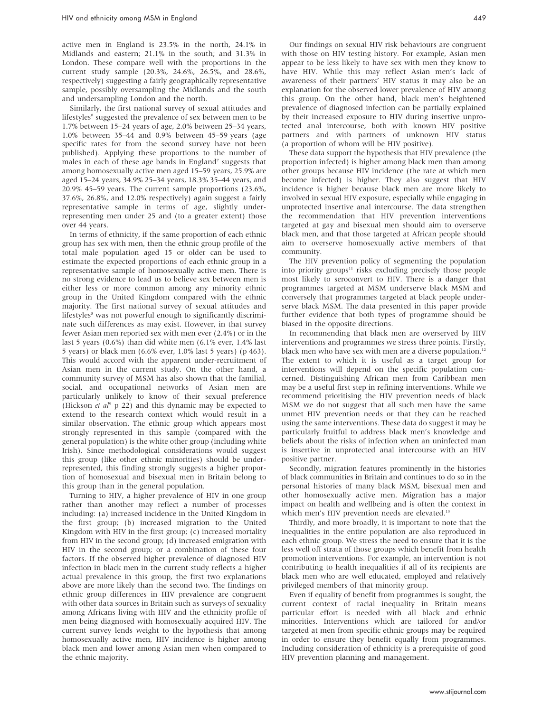active men in England is 23.5% in the north, 24.1% in Midlands and eastern; 21.1% in the south; and 31.3% in London. These compare well with the proportions in the current study sample (20.3%, 24.6%, 26.5%, and 28.6%, respectively) suggesting a fairly geographically representative sample, possibly oversampling the Midlands and the south and undersampling London and the north.

Similarly, the first national survey of sexual attitudes and lifestyles<sup>8</sup> suggested the prevalence of sex between men to be 1.7% between 15–24 years of age, 2.0% between 25–34 years, 1.0% between 35–44 and 0.9% between 45–59 years (age specific rates for from the second survey have not been published). Applying these proportions to the number of males in each of these age bands in England<sup>7</sup> suggests that among homosexually active men aged 15–59 years, 25.9% are aged 15–24 years, 34.9% 25–34 years, 18.3% 35–44 years, and 20.9% 45–59 years. The current sample proportions (23.6%, 37.6%, 26.8%, and 12.0% respectively) again suggest a fairly representative sample in terms of age, slightly underrepresenting men under 25 and (to a greater extent) those over 44 years.

In terms of ethnicity, if the same proportion of each ethnic group has sex with men, then the ethnic group profile of the total male population aged 15 or older can be used to estimate the expected proportions of each ethnic group in a representative sample of homosexually active men. There is no strong evidence to lead us to believe sex between men is either less or more common among any minority ethnic group in the United Kingdom compared with the ethnic majority. The first national survey of sexual attitudes and lifestyles<sup>8</sup> was not powerful enough to significantly discriminate such differences as may exist. However, in that survey fewer Asian men reported sex with men ever (2.4%) or in the last 5 years (0.6%) than did white men (6.1% ever, 1.4% last 5 years) or black men (6.6% ever, 1.0% last 5 years) (p 463). This would accord with the apparent under-recruitment of Asian men in the current study. On the other hand, a community survey of MSM has also shown that the familial, social, and occupational networks of Asian men are particularly unlikely to know of their sexual preference (Hickson et  $a l^9$  p 22) and this dynamic may be expected to extend to the research context which would result in a similar observation. The ethnic group which appears most strongly represented in this sample (compared with the general population) is the white other group (including white Irish). Since methodological considerations would suggest this group (like other ethnic minorities) should be underrepresented, this finding strongly suggests a higher proportion of homosexual and bisexual men in Britain belong to this group than in the general population.

Turning to HIV, a higher prevalence of HIV in one group rather than another may reflect a number of processes including: (a) increased incidence in the United Kingdom in the first group; (b) increased migration to the United Kingdom with HIV in the first group; (c) increased mortality from HIV in the second group; (d) increased emigration with HIV in the second group; or a combination of these four factors. If the observed higher prevalence of diagnosed HIV infection in black men in the current study reflects a higher actual prevalence in this group, the first two explanations above are more likely than the second two. The findings on ethnic group differences in HIV prevalence are congruent with other data sources in Britain such as surveys of sexuality among Africans living with HIV and the ethnicity profile of men being diagnosed with homosexually acquired HIV. The current survey lends weight to the hypothesis that among homosexually active men, HIV incidence is higher among black men and lower among Asian men when compared to the ethnic majority.

Our findings on sexual HIV risk behaviours are congruent with those on HIV testing history. For example, Asian men appear to be less likely to have sex with men they know to have HIV. While this may reflect Asian men's lack of awareness of their partners' HIV status it may also be an explanation for the observed lower prevalence of HIV among this group. On the other hand, black men's heightened prevalence of diagnosed infection can be partially explained by their increased exposure to HIV during insertive unprotected anal intercourse, both with known HIV positive partners and with partners of unknown HIV status (a proportion of whom will be HIV positive).

These data support the hypothesis that HIV prevalence (the proportion infected) is higher among black men than among other groups because HIV incidence (the rate at which men become infected) is higher. They also suggest that HIV incidence is higher because black men are more likely to involved in sexual HIV exposure, especially while engaging in unprotected insertive anal intercourse. The data strengthen the recommendation that HIV prevention interventions targeted at gay and bisexual men should aim to overserve black men, and that those targeted at African people should aim to overserve homosexually active members of that community.

The HIV prevention policy of segmenting the population into priority groups $11$  risks excluding precisely those people most likely to seroconvert to HIV. There is a danger that programmes targeted at MSM underserve black MSM and conversely that programmes targeted at black people underserve black MSM. The data presented in this paper provide further evidence that both types of programme should be biased in the opposite directions.

In recommending that black men are overserved by HIV interventions and programmes we stress three points. Firstly, black men who have sex with men are a diverse population.<sup>1</sup> The extent to which it is useful as a target group for interventions will depend on the specific population concerned. Distinguishing African men from Caribbean men may be a useful first step in refining interventions. While we recommend prioritising the HIV prevention needs of black MSM we do not suggest that all such men have the same unmet HIV prevention needs or that they can be reached using the same interventions. These data do suggest it may be particularly fruitful to address black men's knowledge and beliefs about the risks of infection when an uninfected man is insertive in unprotected anal intercourse with an HIV positive partner.

Secondly, migration features prominently in the histories of black communities in Britain and continues to do so in the personal histories of many black MSM, bisexual men and other homosexually active men. Migration has a major impact on health and wellbeing and is often the context in which men's HIV prevention needs are elevated.<sup>13</sup>

Thirdly, and more broadly, it is important to note that the inequalities in the entire population are also reproduced in each ethnic group. We stress the need to ensure that it is the less well off strata of those groups which benefit from health promotion interventions. For example, an intervention is not contributing to health inequalities if all of its recipients are black men who are well educated, employed and relatively privileged members of that minority group.

Even if equality of benefit from programmes is sought, the current context of racial inequality in Britain means particular effort is needed with all black and ethnic minorities. Interventions which are tailored for and/or targeted at men from specific ethnic groups may be required in order to ensure they benefit equally from programmes. Including consideration of ethnicity is a prerequisite of good HIV prevention planning and management.